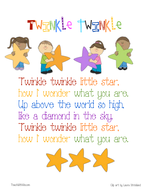

Twinkle twinkle little star, how I wonder what you are. Up above the world so high, like a diamond in the sky. Twinkle twinkle little star, how I wonder what you are.

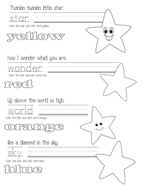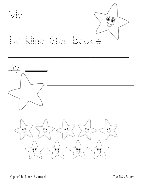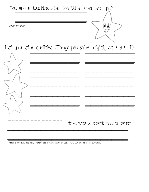| Color the star. |                                                                   |  |
|-----------------|-------------------------------------------------------------------|--|
|                 | List your star qualities. (Things you shine brightly at. > 3 < 10 |  |
|                 |                                                                   |  |
|                 | deserves a start too, because                                     |  |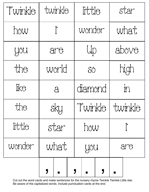| Twinkle | twinkle                | little            | star    |
|---------|------------------------|-------------------|---------|
| how     |                        | wonder            | what    |
| you     | are                    | $Q_{\mathcal{P}}$ | above   |
| the     | world                  | SÓ                | high    |
| like    | a                      | diamond           | m       |
| the     | Ski<br>$\cdot \cdot$ y | Twinkle           | twinkle |
| little  | star                   | how               |         |
| wonder  | what                   | you               | are     |
|         |                        |                   |         |

Cut out the word cards and make sentences for the nursery rhyme Twinkle Twinkle Little star. Be aware of the capitalized words. Include punctuation cards at the end.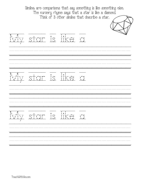$S$  or is like  $\alpha$ \_\_\_\_\_\_\_\_\_\_\_\_\_\_\_\_\_\_\_\_\_\_\_\_\_ \_\_\_\_\_\_\_\_\_\_\_\_\_\_\_\_\_\_\_\_\_\_\_\_\_ STOP IS HERE A \_\_\_\_\_\_\_\_\_\_\_\_\_\_\_\_\_\_\_\_\_\_\_\_\_ \_\_\_\_\_\_\_\_\_\_\_\_\_\_\_\_\_\_\_\_\_\_\_\_\_ My is like a \_\_\_\_\_\_\_\_\_\_\_\_\_\_\_\_\_\_\_\_\_\_\_\_\_ \_\_\_\_\_\_\_\_\_\_\_\_\_\_\_\_\_\_\_\_\_\_\_\_\_ Similes; are comparisons that say something is like something else. The nursery rhyme says that a star is like a diamond. Think of 3 other similes that describe a star.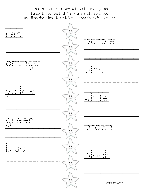Trace and write the words in their matching color. Randomly color each of the stars a different color and then draw lines to match the stars to their color word.

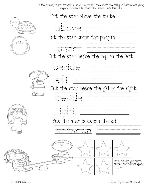In the nursery rhyme, the star is up, above and in. These words are telling us "where" and giving us spatial directions. Complete the "where" activities below.

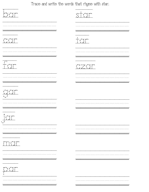Trace and write the words that rhyme with star.

| т<br>$\begin{array}{c}\n\hline\n\downarrow \\ \hline\n\downarrow \\ \hline\n\downarrow\n\end{array}$                                                                                                                                                                                                                                                                                                                                      | $\sum_{i=1}^{n} \frac{1}{i} \sum_{j=1}^{n} \frac{1}{i} \sum_{j=1}^{n} \frac{1}{j} \sum_{j=1}^{n} \frac{1}{j} \sum_{j=1}^{n} \frac{1}{j} \sum_{j=1}^{n} \frac{1}{j} \sum_{j=1}^{n} \frac{1}{j} \sum_{j=1}^{n} \frac{1}{j} \sum_{j=1}^{n} \frac{1}{j} \sum_{j=1}^{n} \frac{1}{j} \sum_{j=1}^{n} \frac{1}{j} \sum_{j=1}^{n} \frac{1}{j} \sum_{j=1}^{n} \frac{1}{j$                                                                                                                                                                                                                                                               |
|-------------------------------------------------------------------------------------------------------------------------------------------------------------------------------------------------------------------------------------------------------------------------------------------------------------------------------------------------------------------------------------------------------------------------------------------|-------------------------------------------------------------------------------------------------------------------------------------------------------------------------------------------------------------------------------------------------------------------------------------------------------------------------------------------------------------------------------------------------------------------------------------------------------------------------------------------------------------------------------------------------------------------------------------------------------------------------------|
|                                                                                                                                                                                                                                                                                                                                                                                                                                           |                                                                                                                                                                                                                                                                                                                                                                                                                                                                                                                                                                                                                               |
| $\begin{array}{c c c c c} \hline \textbf{r} & \textbf{r} & \textbf{r} & \textbf{r} \\ \hline \textbf{r} & \textbf{r} & \textbf{r} & \textbf{r} \\ \hline \textbf{r} & \textbf{r} & \textbf{r} & \textbf{r} \\ \hline \textbf{r} & \textbf{r} & \textbf{r} & \textbf{r} \\ \hline \textbf{r} & \textbf{r} & \textbf{r} & \textbf{r} \\ \hline \textbf{r} & \textbf{r} & \textbf{r} & \textbf{r} \\ \hline \textbf{r} & \textbf{r} & \text$ |                                                                                                                                                                                                                                                                                                                                                                                                                                                                                                                                                                                                                               |
|                                                                                                                                                                                                                                                                                                                                                                                                                                           | $\begin{array}{c} \begin{array}{c} \uparrow \\ \downarrow \end{array} & \begin{array}{c} \uparrow \\ \downarrow \end{array} & \begin{array}{c} \uparrow \\ \downarrow \end{array} & \begin{array}{c} \uparrow \\ \downarrow \end{array} & \begin{array}{c} \uparrow \\ \downarrow \end{array} & \begin{array}{c} \downarrow \\ \downarrow \end{array} & \begin{array}{c} \downarrow \\ \downarrow \end{array} & \begin{array}{c} \downarrow \\ \downarrow \end{array} & \begin{array}{c} \downarrow \\ \downarrow \end{array} & \begin{array}{c} \downarrow \\ \downarrow \end{array} & \begin{array}{c} \downarrow \\ \down$ |
|                                                                                                                                                                                                                                                                                                                                                                                                                                           |                                                                                                                                                                                                                                                                                                                                                                                                                                                                                                                                                                                                                               |
|                                                                                                                                                                                                                                                                                                                                                                                                                                           |                                                                                                                                                                                                                                                                                                                                                                                                                                                                                                                                                                                                                               |
| $\bullet$<br>$\frac{1}{2}$<br>$\vec{J}$                                                                                                                                                                                                                                                                                                                                                                                                   |                                                                                                                                                                                                                                                                                                                                                                                                                                                                                                                                                                                                                               |
|                                                                                                                                                                                                                                                                                                                                                                                                                                           |                                                                                                                                                                                                                                                                                                                                                                                                                                                                                                                                                                                                                               |
|                                                                                                                                                                                                                                                                                                                                                                                                                                           |                                                                                                                                                                                                                                                                                                                                                                                                                                                                                                                                                                                                                               |
|                                                                                                                                                                                                                                                                                                                                                                                                                                           |                                                                                                                                                                                                                                                                                                                                                                                                                                                                                                                                                                                                                               |
|                                                                                                                                                                                                                                                                                                                                                                                                                                           |                                                                                                                                                                                                                                                                                                                                                                                                                                                                                                                                                                                                                               |
|                                                                                                                                                                                                                                                                                                                                                                                                                                           |                                                                                                                                                                                                                                                                                                                                                                                                                                                                                                                                                                                                                               |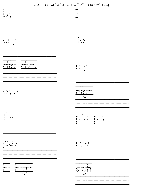Trace and write the words that rhyme with sky.

| $\frac{1}{1}$                                                                                                                                                                                                                                                                                                                                                                                                                                                                                                                                                               | 丁!                                                                                                                                                                                                                                                                                                                                                                                                                                                                                                                                                  |
|-----------------------------------------------------------------------------------------------------------------------------------------------------------------------------------------------------------------------------------------------------------------------------------------------------------------------------------------------------------------------------------------------------------------------------------------------------------------------------------------------------------------------------------------------------------------------------|-----------------------------------------------------------------------------------------------------------------------------------------------------------------------------------------------------------------------------------------------------------------------------------------------------------------------------------------------------------------------------------------------------------------------------------------------------------------------------------------------------------------------------------------------------|
|                                                                                                                                                                                                                                                                                                                                                                                                                                                                                                                                                                             |                                                                                                                                                                                                                                                                                                                                                                                                                                                                                                                                                     |
|                                                                                                                                                                                                                                                                                                                                                                                                                                                                                                                                                                             | $\mathbf{I}$<br>$\blacksquare$                                                                                                                                                                                                                                                                                                                                                                                                                                                                                                                      |
|                                                                                                                                                                                                                                                                                                                                                                                                                                                                                                                                                                             |                                                                                                                                                                                                                                                                                                                                                                                                                                                                                                                                                     |
| $\frac{1}{\sqrt{1-\frac{1}{2}}}$<br>╲┞╌╽╌┈┎╾╺╌<br>╺╽╶╽╴╹╾╾╾╹<br>╭╽╶╽╴╲╴╺╱                                                                                                                                                                                                                                                                                                                                                                                                                                                                                                   |                                                                                                                                                                                                                                                                                                                                                                                                                                                                                                                                                     |
|                                                                                                                                                                                                                                                                                                                                                                                                                                                                                                                                                                             |                                                                                                                                                                                                                                                                                                                                                                                                                                                                                                                                                     |
| $\begin{array}{c c c c c} \hline \begin{array}{c} \text{R-1} & \text{R-1} & \text{R-1} \\ \text{R-1} & \text{R-1} & \text{R-1} \\ \hline \end{array} \\ \hline \end{array} \end{array}$                                                                                                                                                                                                                                                                                                                                                                                     |                                                                                                                                                                                                                                                                                                                                                                                                                                                                                                                                                     |
|                                                                                                                                                                                                                                                                                                                                                                                                                                                                                                                                                                             |                                                                                                                                                                                                                                                                                                                                                                                                                                                                                                                                                     |
| 召<br>╺╀━╼╒╺╤╼╤<br>╶╿┈╷╡╶╲╿<br><u>╶╿┈┈╽┈┈╲╿┈┈</u>                                                                                                                                                                                                                                                                                                                                                                                                                                                                                                                            | $\mathbf{I}$<br>$\blacksquare$<br>٠<br>$\begin{array}{c}\n\begin{array}{c}\n\uparrow \\ \uparrow \\ \downarrow\n\end{array} & \begin{array}{c}\n\uparrow \\ \downarrow \\ \downarrow\n\end{array} & \begin{array}{c}\n\downarrow \\ \downarrow \\ \downarrow\n\end{array} \end{array}$<br>т.<br>$\blacksquare$<br>$\mathbf{I}$                                                                                                                                                                                                                      |
|                                                                                                                                                                                                                                                                                                                                                                                                                                                                                                                                                                             |                                                                                                                                                                                                                                                                                                                                                                                                                                                                                                                                                     |
| $\begin{array}{c c c c c} \hline \textbf{r} & \textbf{r} & \textbf{r} & \textbf{r} & \textbf{r} \\ \hline \textbf{r} & \textbf{r} & \textbf{r} & \textbf{r} & \textbf{r} \\ \hline \textbf{r} & \textbf{r} & \textbf{r} & \textbf{r} & \textbf{r} \\ \hline \textbf{r} & \textbf{r} & \textbf{r} & \textbf{r} & \textbf{r} \\ \hline \textbf{r} & \textbf{r} & \textbf{r} & \textbf{r} & \textbf{r} \\ \hline \end{array}$                                                                                                                                                  |                                                                                                                                                                                                                                                                                                                                                                                                                                                                                                                                                     |
|                                                                                                                                                                                                                                                                                                                                                                                                                                                                                                                                                                             |                                                                                                                                                                                                                                                                                                                                                                                                                                                                                                                                                     |
| $\top$<br>л.<br><b>Contract Contract</b><br>٠<br><b>I</b><br>$\bullet$<br>$\mathbb{Y}^1$<br>$\begin{array}{c} \mathbf{1}_{\mathbf{N},\mathbf{N}}=\mathbf{1}_{\mathbf{N},\mathbf{N}}\mathbf{1}_{\mathbf{N},\mathbf{N}}\\ \mathbf{1}_{\mathbf{N},\mathbf{N}}=\mathbf{1}_{\mathbf{N},\mathbf{N}}\mathbf{1}_{\mathbf{N},\mathbf{N}}\mathbf{1}_{\mathbf{N},\mathbf{N}}\\ \mathbf{1}_{\mathbf{N},\mathbf{N},\mathbf{N}}=\mathbf{1}_{\mathbf{N},\mathbf{N},\mathbf{N}}\mathbf{1}_{\mathbf{N},\mathbf{N}}\mathbf{1}_{\mathbf{N},\mathbf{N}} \$<br>╍<br>டட<br><u>」</u><br>$\sqrt{2}$ | л.<br>$\mathbf{L}$<br>$\begin{array}{c} \overline{X}^{\mathbf{X}} \stackrel{\text{def}}{=} \overline{Y}^{\mathbf{X}} \stackrel{\text{def}}{=} \overline{Y}^{\mathbf{X}} \stackrel{\text{def}}{=} \overline{Y}^{\mathbf{X}} \stackrel{\text{def}}{=} \overline{Y}^{\mathbf{X}} \stackrel{\text{def}}{=} \overline{Y}^{\mathbf{X}} \stackrel{\text{def}}{=} \overline{Y}^{\mathbf{X}} \stackrel{\text{def}}{=} \overline{Y}^{\mathbf{X}} \stackrel{\text{def}}{=} \overline{Y}^{\mathbf{X}} \stackrel{\text{def}}{=} \overline{Y}$<br>٠<br>$\sqrt{1}$ |
|                                                                                                                                                                                                                                                                                                                                                                                                                                                                                                                                                                             |                                                                                                                                                                                                                                                                                                                                                                                                                                                                                                                                                     |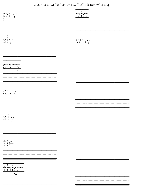Trace and write the words that rhyme with sky.

|                                                                                                                                                                                                                                                                                                                                                                                                                                                                                                                                                                         | $\sum_{i=1}^{n} \frac{1}{i} \sum_{i=1}^{n} \frac{1}{i}$                                                                                                     |
|-------------------------------------------------------------------------------------------------------------------------------------------------------------------------------------------------------------------------------------------------------------------------------------------------------------------------------------------------------------------------------------------------------------------------------------------------------------------------------------------------------------------------------------------------------------------------|-------------------------------------------------------------------------------------------------------------------------------------------------------------|
| л.                                                                                                                                                                                                                                                                                                                                                                                                                                                                                                                                                                      | $\mathbf{I}$                                                                                                                                                |
| $\sim 10^{-1}$<br>$\begin{array}{c}\n\sqrt{1+\sqrt{1+\frac{1}{2}}}\n\hline\n\sqrt{1+\sqrt{1+\frac{1}{2}}}\n\hline\n\sqrt{1+\frac{1}{2}}\n\hline\n\sqrt{1+\frac{1}{2}}\n\hline\n\end{array}$                                                                                                                                                                                                                                                                                                                                                                             | <b>Contract Contract</b><br>$\bigvee_{i=1}^{n} \bigvee_{j=1}^{n} \bigvee_{i=1}^{n} \bigvee_{j=1}^{n} \bigvee_{j=1}^{n} \bigvee_{j=1}^{n} \bigvee_{j=1}^{n}$ |
| -----------------                                                                                                                                                                                                                                                                                                                                                                                                                                                                                                                                                       | -----------                                                                                                                                                 |
| --------------------------                                                                                                                                                                                                                                                                                                                                                                                                                                                                                                                                              | --- ---- ----- ---- ---- ---- ---- ---- ---                                                                                                                 |
|                                                                                                                                                                                                                                                                                                                                                                                                                                                                                                                                                                         |                                                                                                                                                             |
| $\begin{array}{c c c} \sqrt{1+\gamma} & \sqrt{1+\gamma}\\ \sqrt{1+\gamma} & \sqrt{1+\gamma}\\ \sqrt{1+\gamma} & \sqrt{1+\gamma}\\ \sqrt{1+\gamma} & \sqrt{1+\gamma}\\ \sqrt{1+\gamma} & \sqrt{1+\gamma}\\ \sqrt{1+\gamma} & \sqrt{1+\gamma}\\ \sqrt{1+\gamma} & \sqrt{1+\gamma}\\ \sqrt{1+\gamma} & \sqrt{1+\gamma}\\ \sqrt{1+\gamma} & \sqrt{1+\gamma}\\ \sqrt{1+\gamma} & \sqrt{1+\gamma}\\ \sqrt{1+\gamma} & \sqrt{1+\gamma}\\ \sqrt{1+\gamma} & \sqrt{1+\gamma}\\ \sqrt{1+\gamma} & \sqrt{1+\gamma}\\ \sqrt{1+\gamma} & \sqrt{1+\gamma$<br>------------------------ |                                                                                                                                                             |
| $\blacksquare$<br>$\begin{array}{c c c c} \hline \psi & -1 & \psi & -y \\ \hline \psi & 1 & \psi & y \\ \hline \psi & 1 & \psi & y \\ \hline \end{array}$                                                                                                                                                                                                                                                                                                                                                                                                               |                                                                                                                                                             |
|                                                                                                                                                                                                                                                                                                                                                                                                                                                                                                                                                                         |                                                                                                                                                             |
| $\frac{1}{1}$ $\frac{1}{1}$ $\frac{1}{1}$                                                                                                                                                                                                                                                                                                                                                                                                                                                                                                                               |                                                                                                                                                             |
|                                                                                                                                                                                                                                                                                                                                                                                                                                                                                                                                                                         |                                                                                                                                                             |
| $\mathbf{I}$<br>$\blacksquare$<br>$\sim 1$<br>$\mathbf{I}$<br>$\bullet$<br>$\sqrt{2}$                                                                                                                                                                                                                                                                                                                                                                                                                                                                                   |                                                                                                                                                             |
|                                                                                                                                                                                                                                                                                                                                                                                                                                                                                                                                                                         |                                                                                                                                                             |